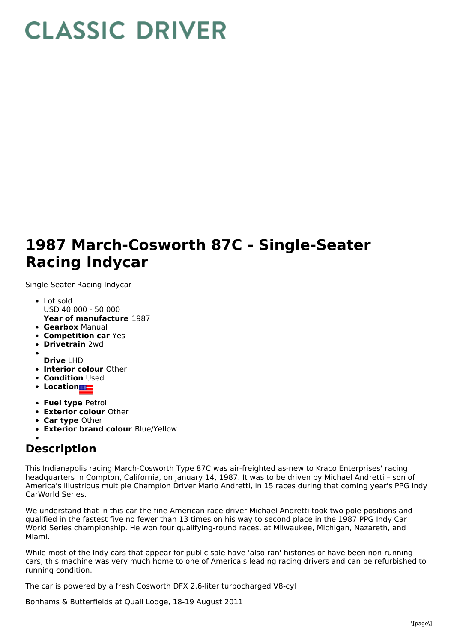## **CLASSIC DRIVER**

## **1987 March-Cosworth 87C - Single-Seater Racing Indycar**

Single-Seater Racing Indycar

- Lot sold USD 40 000 - 50 000
- **Year of manufacture** 1987
- **Gearbox** Manual
- **Competition car** Yes
- **Drivetrain** 2wd
- **Drive** LHD
- **Interior colour** Other
- **Condition Used**
- **Location**
- **Fuel type** Petrol
- **Exterior colour** Other
- **Car type** Other
- **Exterior brand colour** Blue/Yellow
- 

## **Description**

This Indianapolis racing March-Cosworth Type 87C was air-freighted as-new to Kraco Enterprises' racing headquarters in Compton, California, on January 14, 1987. It was to be driven by Michael Andretti – son of America's illustrious multiple Champion Driver Mario Andretti, in 15 races during that coming year's PPG Indy CarWorld Series.

We understand that in this car the fine American race driver Michael Andretti took two pole positions and qualified in the fastest five no fewer than 13 times on his way to second place in the 1987 PPG Indy Car World Series championship. He won four qualifying-round races, at Milwaukee, Michigan, Nazareth, and Miami.

While most of the Indy cars that appear for public sale have 'also-ran' histories or have been non-running cars, this machine was very much home to one of America's leading racing drivers and can be refurbished to running condition.

The car is powered by a fresh Cosworth DFX 2.6-liter turbocharged V8-cyl

Bonhams & Butterfields at Quail Lodge, 18-19 August 2011